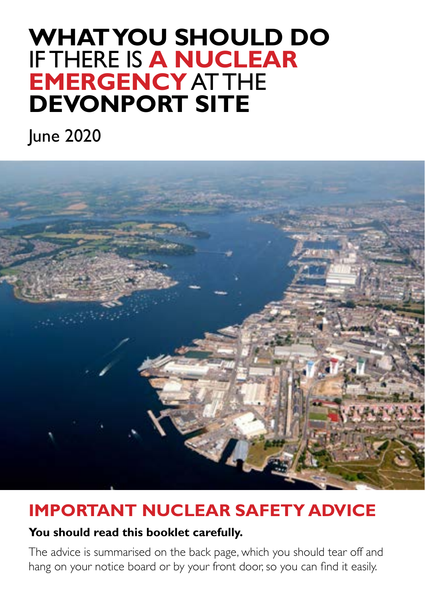# **WHAT YOU SHOULD DO** IF THERE IS **A NUCLEAR EMERGENCY** AT THE **DEVONPORT SITE**

June 2020



## **IMPORTANT NUCLEAR SAFETY ADVICE**

#### **You should read this booklet carefully.**

The advice is summarised on the back page, which you should tear off and hang on your notice board or by your front door, so you can find it easily.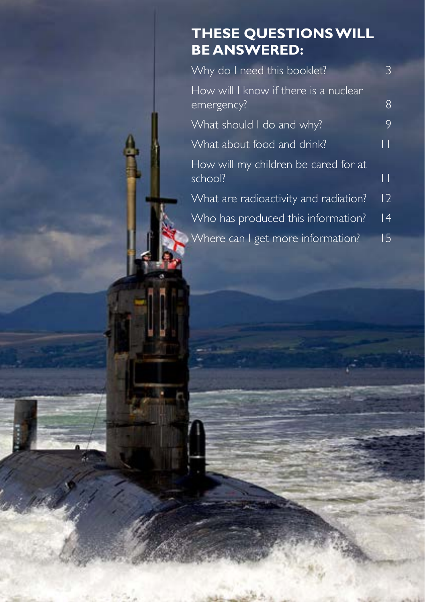### **THESE QUESTIONS WILL BE ANSWERED:**

| Why do I need this booklet?                         | 3            |
|-----------------------------------------------------|--------------|
| How will I know if there is a nuclear<br>emergency? | 8            |
| What should I do and why?                           | 9            |
| What about food and drink?                          | $\mathsf{L}$ |
| How will my children be cared for at<br>school?     | $\mathsf{L}$ |
| What are radioactivity and radiation?               | 2            |
| Who has produced this information?                  | 4            |
| Where can I get more information?                   | 15           |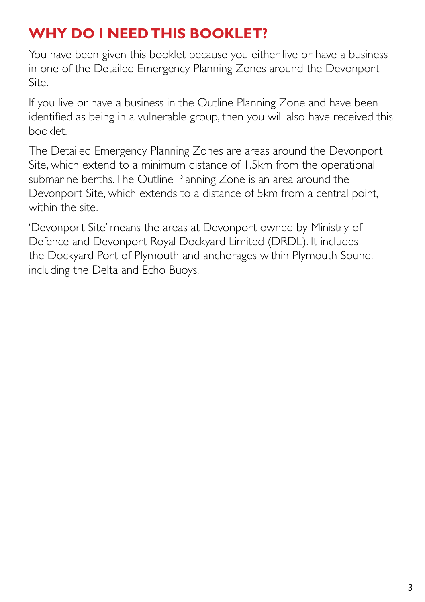## **WHY DO I NEED THIS BOOKLET?**

You have been given this booklet because you either live or have a business in one of the Detailed Emergency Planning Zones around the Devonport Site.

If you live or have a business in the Outline Planning Zone and have been identified as being in a vulnerable group, then you will also have received this booklet.

The Detailed Emergency Planning Zones are areas around the Devonport Site, which extend to a minimum distance of 1.5km from the operational submarine berths. The Outline Planning Zone is an area around the Devonport Site, which extends to a distance of 5km from a central point, within the site.

'Devonport Site' means the areas at Devonport owned by Ministry of Defence and Devonport Royal Dockyard Limited (DRDL). It includes the Dockyard Port of Plymouth and anchorages within Plymouth Sound, including the Delta and Echo Buoys.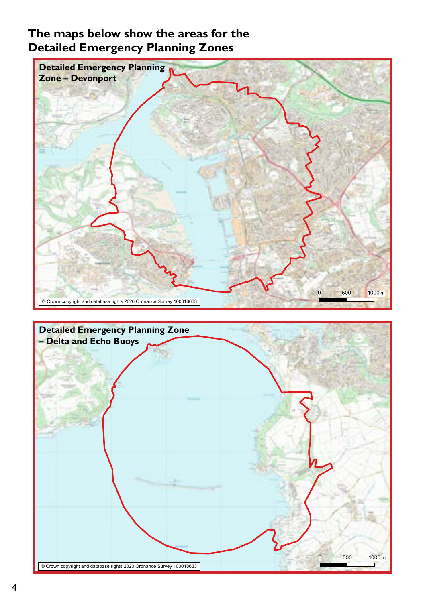#### **The maps below show the areas for the Detailed Emergency Planning Zones**

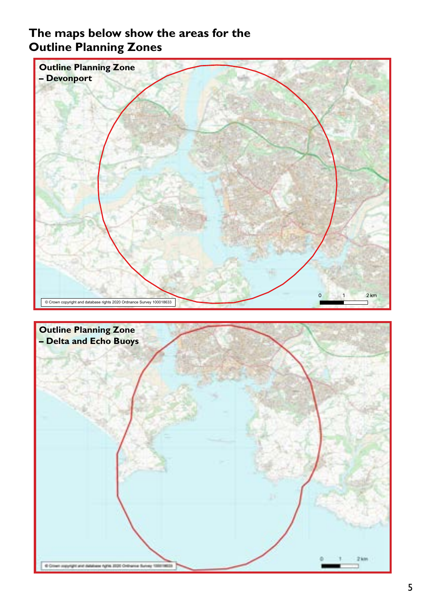#### **The maps below show the areas for the Outline Planning Zones**

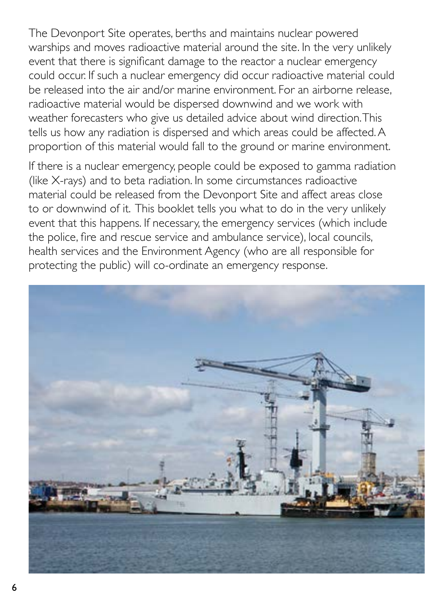The Devonport Site operates, berths and maintains nuclear powered warships and moves radioactive material around the site. In the very unlikely event that there is significant damage to the reactor a nuclear emergency could occur. If such a nuclear emergency did occur radioactive material could be released into the air and/or marine environment. For an airborne release, radioactive material would be dispersed downwind and we work with weather forecasters who give us detailed advice about wind direction. This tells us how any radiation is dispersed and which areas could be affected. A proportion of this material would fall to the ground or marine environment.

If there is a nuclear emergency, people could be exposed to gamma radiation (like X-rays) and to beta radiation. In some circumstances radioactive material could be released from the Devonport Site and affect areas close to or downwind of it. This booklet tells you what to do in the very unlikely event that this happens. If necessary, the emergency services (which include the police, fire and rescue service and ambulance service), local councils, health services and the Environment Agency (who are all responsible for protecting the public) will co-ordinate an emergency response.

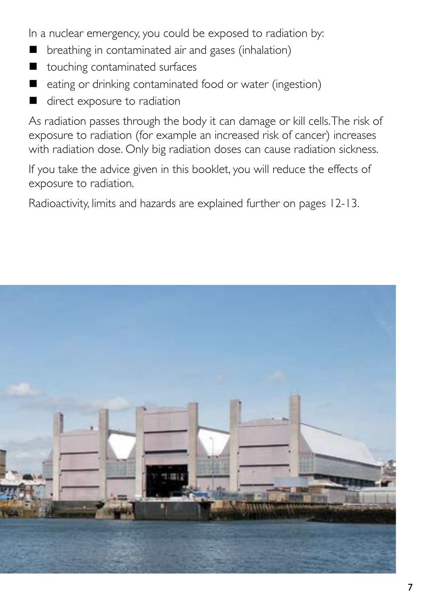In a nuclear emergency, you could be exposed to radiation by:

- breathing in contaminated air and gases (inhalation)
- touching contaminated surfaces
- eating or drinking contaminated food or water (ingestion)
- direct exposure to radiation

As radiation passes through the body it can damage or kill cells. The risk of exposure to radiation (for example an increased risk of cancer) increases with radiation dose. Only big radiation doses can cause radiation sickness.

If you take the advice given in this booklet, you will reduce the effects of exposure to radiation.

Radioactivity, limits and hazards are explained further on pages 12-13.

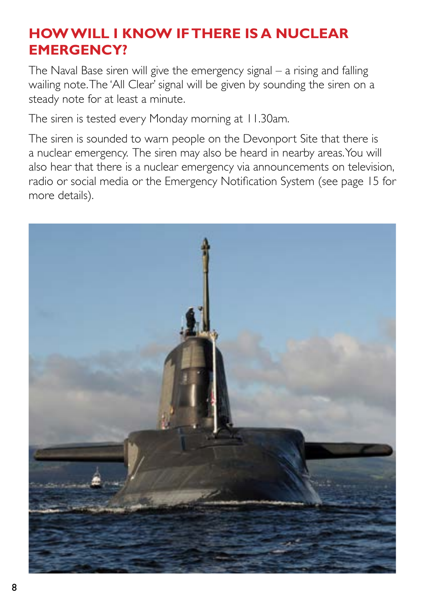### **HOW WILL I KNOW IF THERE IS A NUCLEAR EMERGENCY?**

The Naval Base siren will give the emergency signal – a rising and falling wailing note. The 'All Clear' signal will be given by sounding the siren on a steady note for at least a minute.

The siren is tested every Monday morning at 11.30am.

The siren is sounded to warn people on the Devonport Site that there is a nuclear emergency. The siren may also be heard in nearby areas. You will also hear that there is a nuclear emergency via announcements on television, radio or social media or the Emergency Notification System (see page 15 for more details).

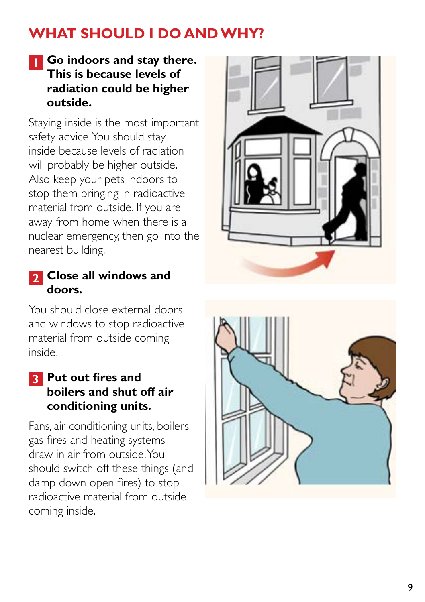## **WHAT SHOULD I DO AND WHY?**

#### **1 Go indoors and stay there. This is because levels of radiation could be higher outside.**

Staying inside is the most important safety advice. You should stay inside because levels of radiation will probably be higher outside. Also keep your pets indoors to stop them bringing in radioactive material from outside. If you are away from home when there is a nuclear emergency, then go into the nearest building.

#### **2 Close all windows and doors.**

You should close external doors and windows to stop radioactive material from outside coming inside.

#### **3 Put out fires and boilers and shut off air conditioning units.**

Fans, air conditioning units, boilers, gas fires and heating systems draw in air from outside. You should switch off these things (and damp down open fires) to stop radioactive material from outside coming inside.



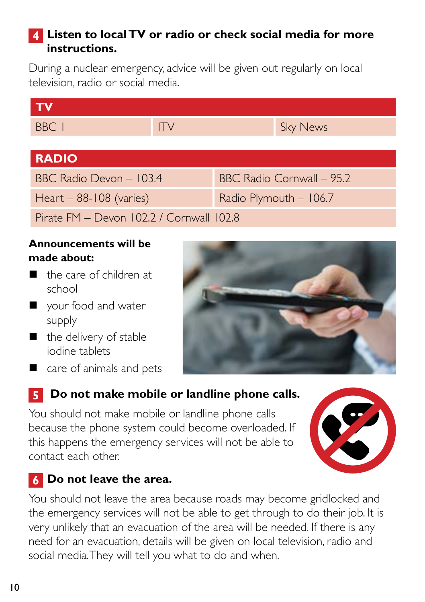### **4 Listen to local TV or radio or check social media for more instructions.**

During a nuclear emergency, advice will be given out regularly on local television, radio or social media.

| <b>TV</b>                                  |          |                              |                 |  |  |
|--------------------------------------------|----------|------------------------------|-----------------|--|--|
| BBC 1                                      | $\Gamma$ |                              | <b>Sky News</b> |  |  |
|                                            |          |                              |                 |  |  |
| <b>RADIO</b>                               |          |                              |                 |  |  |
| BBC Radio Devon - 103.4                    |          | $BBC$ Radio Cornwall $-95.2$ |                 |  |  |
| Heart $-88-108$ (varies)                   |          | Radio Plymouth - 106.7       |                 |  |  |
| Pirate $FM - Devon 102.2$ / Cornwall 102.8 |          |                              |                 |  |  |

#### **Announcements will be made about:**

- the care of children at school
- vour food and water supply
- $\blacksquare$  the delivery of stable iodine tablets
- care of animals and pets



### **5** Do not make mobile or landline phone calls.

You should not make mobile or landline phone calls because the phone system could become overloaded. If this happens the emergency services will not be able to contact each other.



### **6 Do not leave the area.**

You should not leave the area because roads may become gridlocked and the emergency services will not be able to get through to do their job. It is very unlikely that an evacuation of the area will be needed. If there is any need for an evacuation, details will be given on local television, radio and social media. They will tell you what to do and when.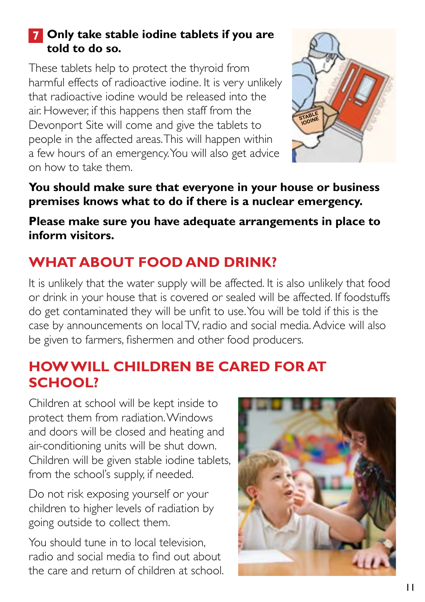### **7 Only take stable iodine tablets if you are told to do so.**

These tablets help to protect the thyroid from harmful effects of radioactive iodine. It is very unlikely that radioactive iodine would be released into the air. However, if this happens then staff from the Devonport Site will come and give the tablets to people in the affected areas. This will happen within a few hours of an emergency. You will also get advice on how to take them.



#### **You should make sure that everyone in your house or business premises knows what to do if there is a nuclear emergency.**

#### **Please make sure you have adequate arrangements in place to inform visitors.**

## **WHAT ABOUT FOOD AND DRINK?**

It is unlikely that the water supply will be affected. It is also unlikely that food or drink in your house that is covered or sealed will be affected. If foodstuffs do get contaminated they will be unfit to use. You will be told if this is the case by announcements on local TV, radio and social media. Advice will also be given to farmers, fishermen and other food producers.

### **HOW WILL CHILDREN BE CARED FOR AT SCHOOL?**

Children at school will be kept inside to protect them from radiation. Windows and doors will be closed and heating and air-conditioning units will be shut down. Children will be given stable iodine tablets, from the school's supply, if needed.

Do not risk exposing yourself or your children to higher levels of radiation by going outside to collect them.

You should tune in to local television, radio and social media to find out about the care and return of children at school.

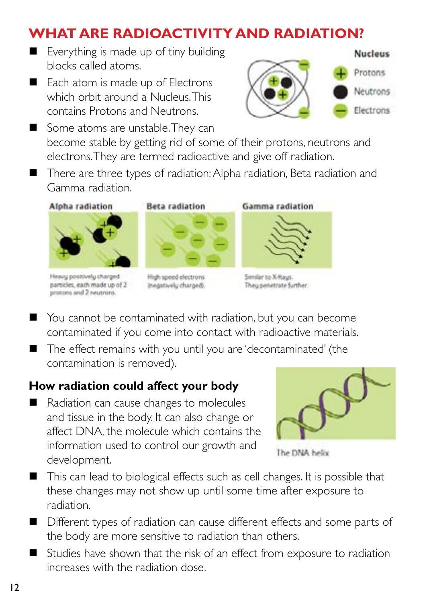## **WHAT ARE RADIOACTIVITY AND RADIATION?**

- Everything is made up of tiny building blocks called atoms.
- Each atom is made up of Electrons which orbit around a Nucleus. This contains Protons and Neutrons.



- Some atoms are unstable. They can become stable by getting rid of some of their protons, neutrons and electrons. They are termed radioactive and give off radiation.
- There are three types of radiation: Alpha radiation, Beta radiation and Gamma radiation.

**Alpha radiation** 







High speed electrons inegatively charged).



Senilar to X-Rays. They penetrate further.

- You cannot be contaminated with radiation, but you can become contaminated if you come into contact with radioactive materials.
- The effect remains with you until you are 'decontaminated' (the contamination is removed).

### **How radiation could affect your body**

Radiation can cause changes to molecules and tissue in the body. It can also change or affect DNA, the molecule which contains the information used to control our growth and development.



The DNA helix

- This can lead to biological effects such as cell changes. It is possible that these changes may not show up until some time after exposure to radiation.
- Different types of radiation can cause different effects and some parts of the body are more sensitive to radiation than others.
- Studies have shown that the risk of an effect from exposure to radiation increases with the radiation dose.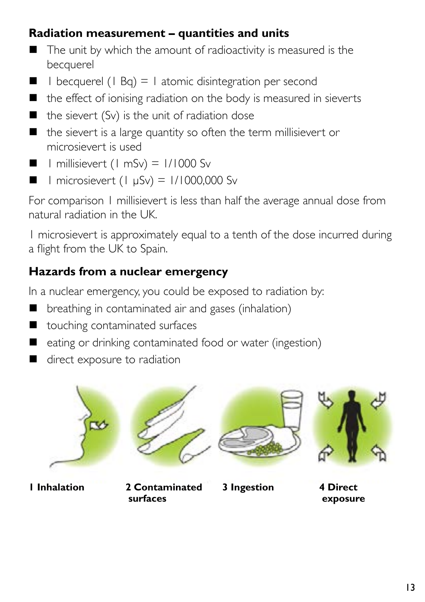### **Radiation measurement – quantities and units**

- $\blacksquare$  The unit by which the amount of radioactivity is measured is the becquerel
- $\blacksquare$  I becquerel (1 Bq) = 1 atomic disintegration per second
- $\blacksquare$  the effect of ionising radiation on the body is measured in sieverts
- $\blacksquare$  the sievert (Sv) is the unit of radiation dose
- $\blacksquare$  the sievert is a large quantity so often the term millisievert or microsievert is used
- $\blacksquare$  | millisievert (1 mSv) = 1/1000 Sv
- $\blacksquare$  | microsievert (1 μSv) = 1/1000,000 Sv

For comparison 1 millisievert is less than half the average annual dose from natural radiation in the UK.

1 microsievert is approximately equal to a tenth of the dose incurred during a flight from the UK to Spain.

### **Hazards from a nuclear emergency**

In a nuclear emergency, you could be exposed to radiation by:

- **D** breathing in contaminated air and gases (inhalation)
- touching contaminated surfaces
- $\Box$  eating or drinking contaminated food or water (ingestion)
- direct exposure to radiation



**1 Inhalation 2 Contaminated** 

 **surfaces**





**3 Ingestion 4 Direct** 

 **exposure**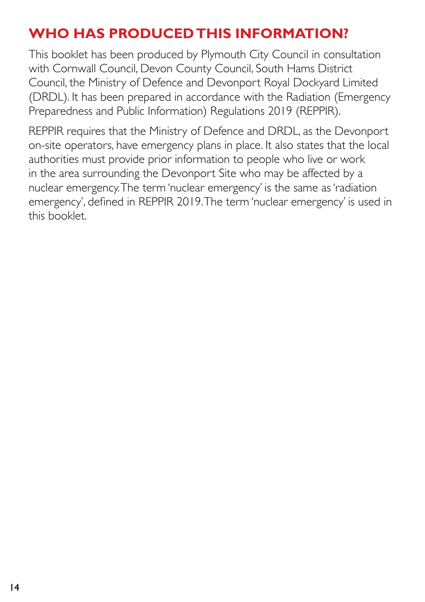## **WHO HAS PRODUCED THIS INFORMATION?**

This booklet has been produced by Plymouth City Council in consultation with Cornwall Council, Devon County Council, South Hams District Council, the Ministry of Defence and Devonport Royal Dockyard Limited (DRDL). It has been prepared in accordance with the Radiation (Emergency Preparedness and Public Information) Regulations 2019 (REPPIR).

REPPIR requires that the Ministry of Defence and DRDL, as the Devonport on-site operators, have emergency plans in place. It also states that the local authorities must provide prior information to people who live or work in the area surrounding the Devonport Site who may be affected by a nuclear emergency. The term 'nuclear emergency' is the same as 'radiation emergency', defined in REPPIR 2019. The term 'nuclear emergency' is used in this booklet.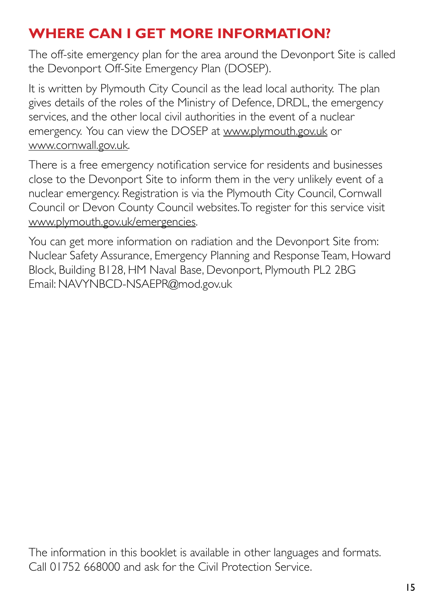## **WHERE CAN I GET MORE INFORMATION?**

The off-site emergency plan for the area around the Devonport Site is called the Devonport Off-Site Emergency Plan (DOSEP).

It is written by Plymouth City Council as the lead local authority. The plan gives details of the roles of the Ministry of Defence, DRDL, the emergency services, and the other local civil authorities in the event of a nuclear emergency. You can view the DOSEP at [www.plymouth.gov.uk](http://www.plymouth.gov.uk) or [www.cornwall.gov.uk](http://www.cornwall.gov.uk).

There is a free emergency notification service for residents and businesses close to the Devonport Site to inform them in the very unlikely event of a nuclear emergency. Registration is via the Plymouth City Council, Cornwall Council or Devon County Council websites. To register for this service visit [www.plymouth.gov.uk/emergencies](http://www.plymouth.gov.uk/emergencies).

You can get more information on radiation and the Devonport Site from: Nuclear Safety Assurance, Emergency Planning and Response Team, Howard Block, Building B128, HM Naval Base, Devonport, Plymouth PL2 2BG Email: NAVYNBCD-NSAEPR@mod.gov.uk

The information in this booklet is available in other languages and formats. Call 01752 668000 and ask for the Civil Protection Service.